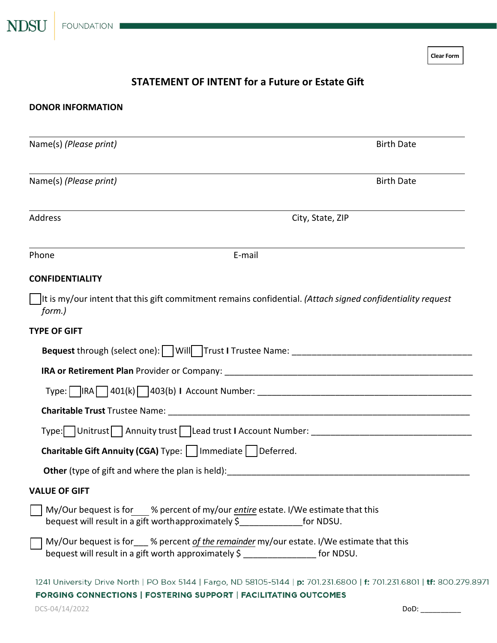**Clear Form**

# **STATEMENT OF INTENT for a Future or Estate Gift**

| <b>DONOR INFORMATION</b>                                        |                                                                                                                                                                                            |  |  |
|-----------------------------------------------------------------|--------------------------------------------------------------------------------------------------------------------------------------------------------------------------------------------|--|--|
| Name(s) (Please print)                                          | <b>Birth Date</b>                                                                                                                                                                          |  |  |
| Name(s) (Please print)                                          | <b>Birth Date</b>                                                                                                                                                                          |  |  |
| Address                                                         | City, State, ZIP                                                                                                                                                                           |  |  |
| Phone                                                           | E-mail                                                                                                                                                                                     |  |  |
| <b>CONFIDENTIALITY</b>                                          |                                                                                                                                                                                            |  |  |
| form.)                                                          | It is my/our intent that this gift commitment remains confidential. (Attach signed confidentiality request                                                                                 |  |  |
| <b>TYPE OF GIFT</b>                                             |                                                                                                                                                                                            |  |  |
|                                                                 |                                                                                                                                                                                            |  |  |
|                                                                 |                                                                                                                                                                                            |  |  |
|                                                                 |                                                                                                                                                                                            |  |  |
|                                                                 |                                                                                                                                                                                            |  |  |
|                                                                 |                                                                                                                                                                                            |  |  |
| Charitable Gift Annuity (CGA) Type:     Immediate     Deferred. |                                                                                                                                                                                            |  |  |
|                                                                 | <b>Other</b> (type of gift and where the plan is held): <b>Example 2018</b>                                                                                                                |  |  |
| <b>VALUE OF GIFT</b>                                            |                                                                                                                                                                                            |  |  |
|                                                                 | My/Our bequest is for % percent of my/our <i>entire</i> estate. I/We estimate that this<br>bequest will result in a gift worthapproximately \$________________ for NDSU.                   |  |  |
|                                                                 | My/Our bequest is for ___ % percent of the remainder my/our estate. I/We estimate that this<br>bequest will result in a gift worth approximately \$ _________________ for NDSU.            |  |  |
|                                                                 | 1241 University Drive North   PO Box 5144   Fargo, ND 58105-5144   p: 701.231.6800   f: 701.231.6801   tf: 800.279.8971<br>FORGING CONNECTIONS   FOSTERING SUPPORT   FACILITATING OUTCOMES |  |  |